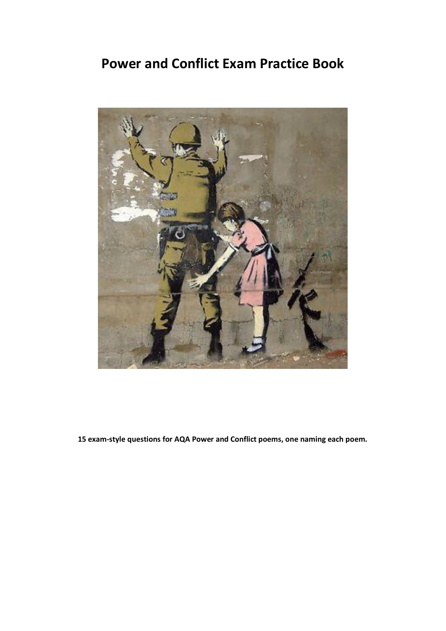# **Power and Conflict Exam Practice Book**



**15 exam-style questions for AQA Power and Conflict poems, one naming each poem.**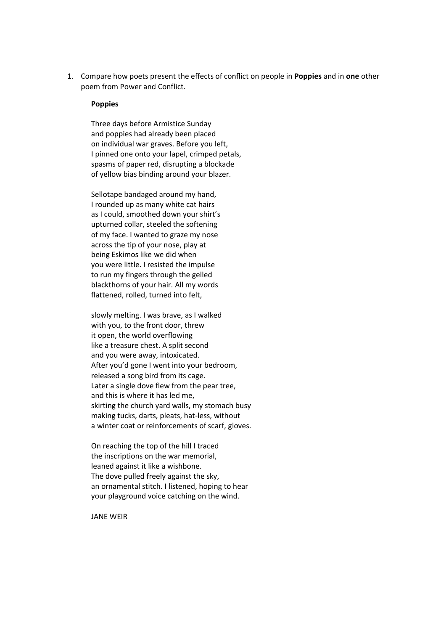1. Compare how poets present the effects of conflict on people in **Poppies** and in **one** other poem from Power and Conflict.

#### **Poppies**

Three days before Armistice Sunday and poppies had already been placed on individual war graves. Before you left, I pinned one onto your lapel, crimped petals, spasms of paper red, disrupting a blockade of yellow bias binding around your blazer.

Sellotape bandaged around my hand, I rounded up as many white cat hairs as I could, smoothed down your shirt's upturned collar, steeled the softening of my face. I wanted to graze my nose across the tip of your nose, play at being Eskimos like we did when you were little. I resisted the impulse to run my fingers through the gelled blackthorns of your hair. All my words flattened, rolled, turned into felt,

slowly melting. I was brave, as I walked with you, to the front door, threw it open, the world overflowing like a treasure chest. A split second and you were away, intoxicated. After you'd gone I went into your bedroom, released a song bird from its cage. Later a single dove flew from the pear tree, and this is where it has led me, skirting the church yard walls, my stomach busy making tucks, darts, pleats, hat-less, without a winter coat or reinforcements of scarf, gloves.

On reaching the top of the hill I traced the inscriptions on the war memorial, leaned against it like a wishbone. The dove pulled freely against the sky, an ornamental stitch. I listened, hoping to hear your playground voice catching on the wind.

JANE WEIR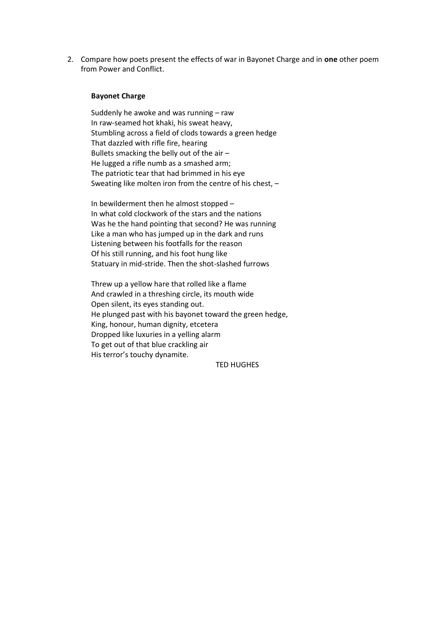2. Compare how poets present the effects of war in Bayonet Charge and in **one** other poem from Power and Conflict.

#### **Bayonet Charge**

Suddenly he awoke and was running – raw In raw-seamed hot khaki, his sweat heavy, Stumbling across a field of clods towards a green hedge That dazzled with rifle fire, hearing Bullets smacking the belly out of the air – He lugged a rifle numb as a smashed arm; The patriotic tear that had brimmed in his eye Sweating like molten iron from the centre of his chest, –

In bewilderment then he almost stopped – In what cold clockwork of the stars and the nations Was he the hand pointing that second? He was running Like a man who has jumped up in the dark and runs Listening between his footfalls for the reason Of his still running, and his foot hung like Statuary in mid-stride. Then the shot-slashed furrows

Threw up a yellow hare that rolled like a flame And crawled in a threshing circle, its mouth wide Open silent, its eyes standing out. He plunged past with his bayonet toward the green hedge, King, honour, human dignity, etcetera Dropped like luxuries in a yelling alarm To get out of that blue crackling air His terror's touchy dynamite.

TED HUGHES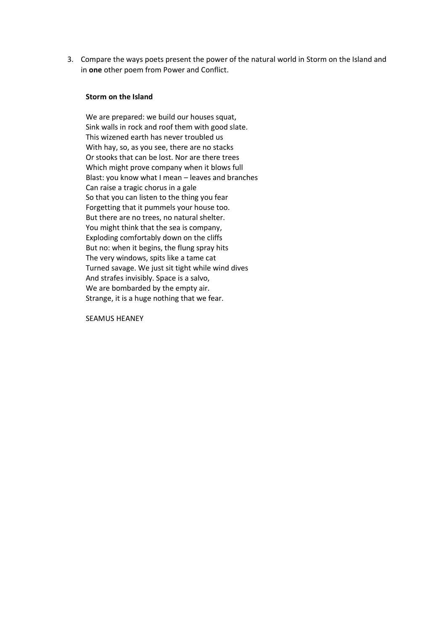3. Compare the ways poets present the power of the natural world in Storm on the Island and in **one** other poem from Power and Conflict.

#### **Storm on the Island**

We are prepared: we build our houses squat, Sink walls in rock and roof them with good slate. This wizened earth has never troubled us With hay, so, as you see, there are no stacks Or stooks that can be lost. Nor are there trees Which might prove company when it blows full Blast: you know what I mean – leaves and branches Can raise a tragic chorus in a gale So that you can listen to the thing you fear Forgetting that it pummels your house too. But there are no trees, no natural shelter. You might think that the sea is company, Exploding comfortably down on the cliffs But no: when it begins, the flung spray hits The very windows, spits like a tame cat Turned savage. We just sit tight while wind dives And strafes invisibly. Space is a salvo, We are bombarded by the empty air. Strange, it is a huge nothing that we fear.

SEAMUS HEANEY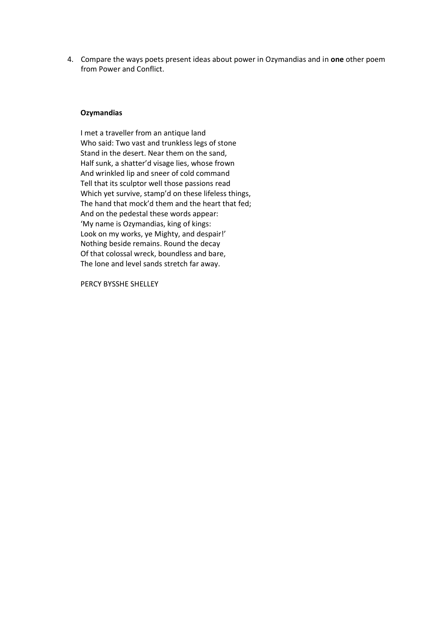4. Compare the ways poets present ideas about power in Ozymandias and in **one** other poem from Power and Conflict.

## **Ozymandias**

I met a traveller from an antique land Who said: Two vast and trunkless legs of stone Stand in the desert. Near them on the sand, Half sunk, a shatter'd visage lies, whose frown And wrinkled lip and sneer of cold command Tell that its sculptor well those passions read Which yet survive, stamp'd on these lifeless things, The hand that mock'd them and the heart that fed; And on the pedestal these words appear: 'My name is Ozymandias, king of kings: Look on my works, ye Mighty, and despair!' Nothing beside remains. Round the decay Of that colossal wreck, boundless and bare, The lone and level sands stretch far away.

PERCY BYSSHE SHELLEY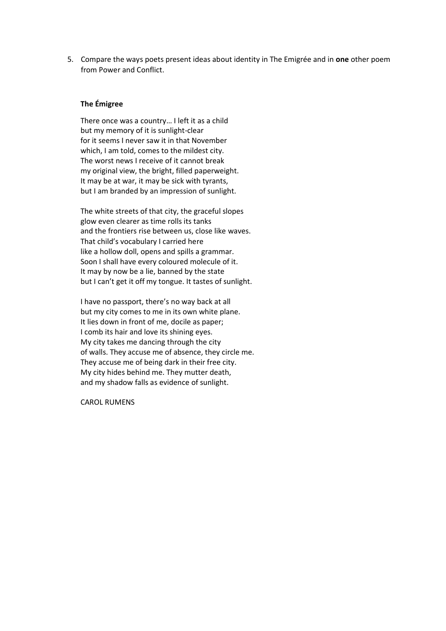5. Compare the ways poets present ideas about identity in The Emigrée and in **one** other poem from Power and Conflict.

## **The Émigree**

There once was a country… I left it as a child but my memory of it is sunlight-clear for it seems I never saw it in that November which, I am told, comes to the mildest city. The worst news I receive of it cannot break my original view, the bright, filled paperweight. It may be at war, it may be sick with tyrants, but I am branded by an impression of sunlight.

The white streets of that city, the graceful slopes glow even clearer as time rolls its tanks and the frontiers rise between us, close like waves. That child's vocabulary I carried here like a hollow doll, opens and spills a grammar. Soon I shall have every coloured molecule of it. It may by now be a lie, banned by the state but I can't get it off my tongue. It tastes of sunlight.

I have no passport, there's no way back at all but my city comes to me in its own white plane. It lies down in front of me, docile as paper; I comb its hair and love its shining eyes. My city takes me dancing through the city of walls. They accuse me of absence, they circle me. They accuse me of being dark in their free city. My city hides behind me. They mutter death, and my shadow falls as evidence of sunlight.

CAROL RUMENS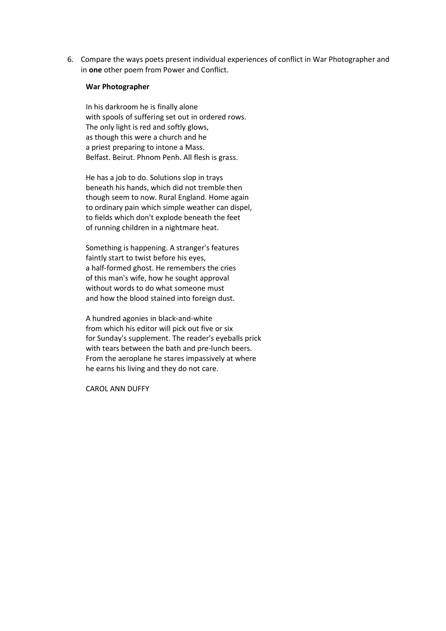6. Compare the ways poets present individual experiences of conflict in War Photographer and in **one** other poem from Power and Conflict.

## **War Photographer**

In his darkroom he is finally alone with spools of suffering set out in ordered rows. The only light is red and softly glows, as though this were a church and he a priest preparing to intone a Mass. Belfast. Beirut. Phnom Penh. All flesh is grass.

He has a job to do. Solutions slop in trays beneath his hands, which did not tremble then though seem to now. Rural England. Home again to ordinary pain which simple weather can dispel, to fields which don't explode beneath the feet of running children in a nightmare heat.

Something is happening. A stranger's features faintly start to twist before his eyes, a half-formed ghost. He remembers the cries of this man's wife, how he sought approval without words to do what someone must and how the blood stained into foreign dust.

A hundred agonies in black-and-white from which his editor will pick out five or six for Sunday's supplement. The reader's eyeballs prick with tears between the bath and pre-lunch beers. From the aeroplane he stares impassively at where he earns his living and they do not care.

CAROL ANN DUFFY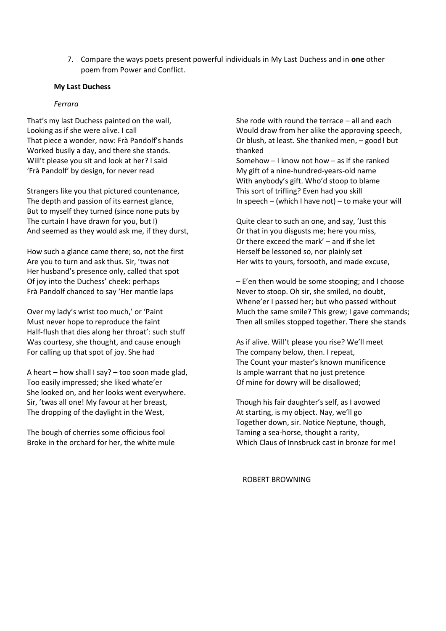7. Compare the ways poets present powerful individuals in My Last Duchess and in **one** other poem from Power and Conflict.

## **My Last Duchess**

## *Ferrara*

That's my last Duchess painted on the wall, Looking as if she were alive. I call That piece a wonder, now: Frà Pandolf's hands Worked busily a day, and there she stands. Will't please you sit and look at her? I said 'Frà Pandolf' by design, for never read

Strangers like you that pictured countenance, The depth and passion of its earnest glance, But to myself they turned (since none puts by The curtain I have drawn for you, but I) And seemed as they would ask me, if they durst,

How such a glance came there; so, not the first Are you to turn and ask thus. Sir, 'twas not Her husband's presence only, called that spot Of joy into the Duchess' cheek: perhaps Frà Pandolf chanced to say 'Her mantle laps

Over my lady's wrist too much,' or 'Paint Must never hope to reproduce the faint Half-flush that dies along her throat': such stuff Was courtesy, she thought, and cause enough For calling up that spot of joy. She had

A heart – how shall I say? – too soon made glad, Too easily impressed; she liked whate'er She looked on, and her looks went everywhere. Sir, 'twas all one! My favour at her breast, The dropping of the daylight in the West,

The bough of cherries some officious fool Broke in the orchard for her, the white mule She rode with round the terrace – all and each Would draw from her alike the approving speech, Or blush, at least. She thanked men, – good! but thanked

Somehow – I know not how – as if she ranked My gift of a nine-hundred-years-old name With anybody's gift. Who'd stoop to blame This sort of trifling? Even had you skill In speech – (which I have not) – to make your will

Quite clear to such an one, and say, 'Just this Or that in you disgusts me; here you miss, Or there exceed the mark' – and if she let Herself be lessoned so, nor plainly set Her wits to yours, forsooth, and made excuse,

– E'en then would be some stooping; and I choose Never to stoop. Oh sir, she smiled, no doubt, Whene'er I passed her; but who passed without Much the same smile? This grew; I gave commands; Then all smiles stopped together. There she stands

As if alive. Will't please you rise? We'll meet The company below, then. I repeat, The Count your master's known munificence Is ample warrant that no just pretence Of mine for dowry will be disallowed;

Though his fair daughter's self, as I avowed At starting, is my object. Nay, we'll go Together down, sir. Notice Neptune, though, Taming a sea-horse, thought a rarity, Which Claus of Innsbruck cast in bronze for me!

ROBERT BROWNING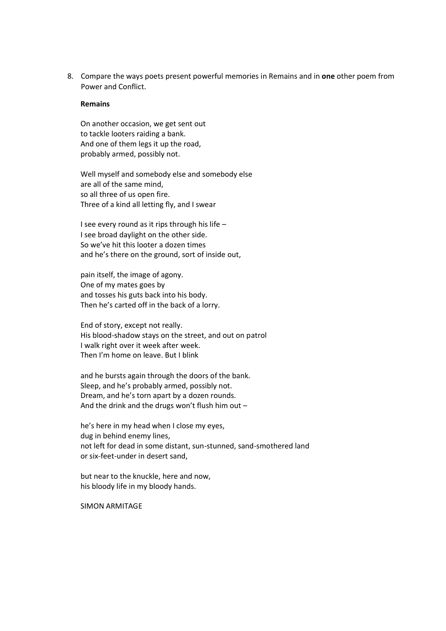8. Compare the ways poets present powerful memories in Remains and in **one** other poem from Power and Conflict.

## **Remains**

On another occasion, we get sent out to tackle looters raiding a bank. And one of them legs it up the road, probably armed, possibly not.

Well myself and somebody else and somebody else are all of the same mind, so all three of us open fire. Three of a kind all letting fly, and I swear

I see every round as it rips through his life – I see broad daylight on the other side. So we've hit this looter a dozen times and he's there on the ground, sort of inside out,

pain itself, the image of agony. One of my mates goes by and tosses his guts back into his body. Then he's carted off in the back of a lorry.

End of story, except not really. His blood-shadow stays on the street, and out on patrol I walk right over it week after week. Then I'm home on leave. But I blink

and he bursts again through the doors of the bank. Sleep, and he's probably armed, possibly not. Dream, and he's torn apart by a dozen rounds. And the drink and the drugs won't flush him out –

he's here in my head when I close my eyes, dug in behind enemy lines, not left for dead in some distant, sun-stunned, sand-smothered land or six-feet-under in desert sand,

but near to the knuckle, here and now, his bloody life in my bloody hands.

SIMON ARMITAGE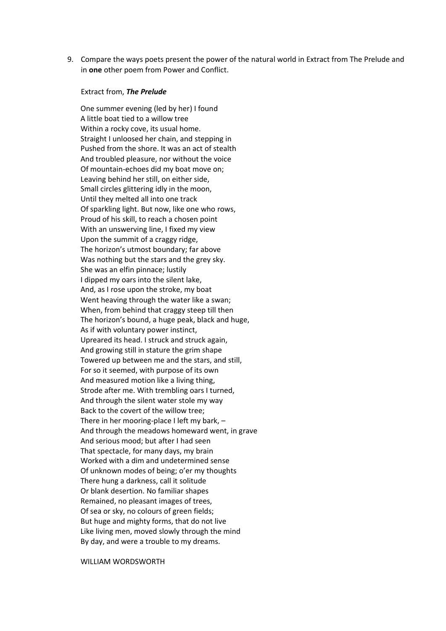9. Compare the ways poets present the power of the natural world in Extract from The Prelude and in **one** other poem from Power and Conflict.

#### Extract from, *The Prelude*

One summer evening (led by her) I found A little boat tied to a willow tree Within a rocky cove, its usual home. Straight I unloosed her chain, and stepping in Pushed from the shore. It was an act of stealth And troubled pleasure, nor without the voice Of mountain-echoes did my boat move on; Leaving behind her still, on either side, Small circles glittering idly in the moon, Until they melted all into one track Of sparkling light. But now, like one who rows, Proud of his skill, to reach a chosen point With an unswerving line, I fixed my view Upon the summit of a craggy ridge, The horizon's utmost boundary; far above Was nothing but the stars and the grey sky. She was an elfin pinnace; lustily I dipped my oars into the silent lake, And, as I rose upon the stroke, my boat Went heaving through the water like a swan; When, from behind that craggy steep till then The horizon's bound, a huge peak, black and huge, As if with voluntary power instinct, Upreared its head. I struck and struck again, And growing still in stature the grim shape Towered up between me and the stars, and still, For so it seemed, with purpose of its own And measured motion like a living thing, Strode after me. With trembling oars I turned, And through the silent water stole my way Back to the covert of the willow tree; There in her mooring-place I left my bark, – And through the meadows homeward went, in grave And serious mood; but after I had seen That spectacle, for many days, my brain Worked with a dim and undetermined sense Of unknown modes of being; o'er my thoughts There hung a darkness, call it solitude Or blank desertion. No familiar shapes Remained, no pleasant images of trees, Of sea or sky, no colours of green fields; But huge and mighty forms, that do not live Like living men, moved slowly through the mind By day, and were a trouble to my dreams.

#### WILLIAM WORDSWORTH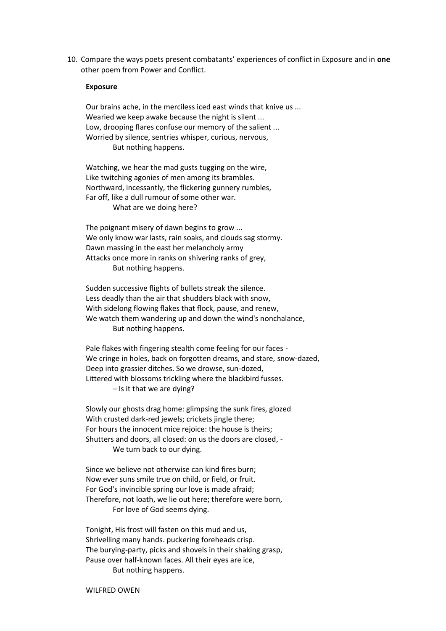10. Compare the ways poets present combatants' experiences of conflict in Exposure and in **one** other poem from Power and Conflict.

#### **Exposure**

Our brains ache, in the merciless iced east winds that knive us ... Wearied we keep awake because the night is silent ... Low, drooping flares confuse our memory of the salient ... Worried by silence, sentries whisper, curious, nervous, But nothing happens.

Watching, we hear the mad gusts tugging on the wire, Like twitching agonies of men among its brambles. Northward, incessantly, the flickering gunnery rumbles, Far off, like a dull rumour of some other war. What are we doing here?

The poignant misery of dawn begins to grow ... We only know war lasts, rain soaks, and clouds sag stormy. Dawn massing in the east her melancholy army Attacks once more in ranks on shivering ranks of grey, But nothing happens.

Sudden successive flights of bullets streak the silence. Less deadly than the air that shudders black with snow, With sidelong flowing flakes that flock, pause, and renew, We watch them wandering up and down the wind's nonchalance, But nothing happens.

Pale flakes with fingering stealth come feeling for our faces - We cringe in holes, back on forgotten dreams, and stare, snow-dazed, Deep into grassier ditches. So we drowse, sun-dozed, Littered with blossoms trickling where the blackbird fusses. – Is it that we are dying?

Slowly our ghosts drag home: glimpsing the sunk fires, glozed With crusted dark-red jewels; crickets jingle there; For hours the innocent mice rejoice: the house is theirs; Shutters and doors, all closed: on us the doors are closed, - We turn back to our dying.

Since we believe not otherwise can kind fires burn; Now ever suns smile true on child, or field, or fruit. For God's invincible spring our love is made afraid; Therefore, not loath, we lie out here; therefore were born, For love of God seems dying.

Tonight, His frost will fasten on this mud and us, Shrivelling many hands. puckering foreheads crisp. The burying-party, picks and shovels in their shaking grasp, Pause over half-known faces. All their eyes are ice, But nothing happens.

WILFRED OWEN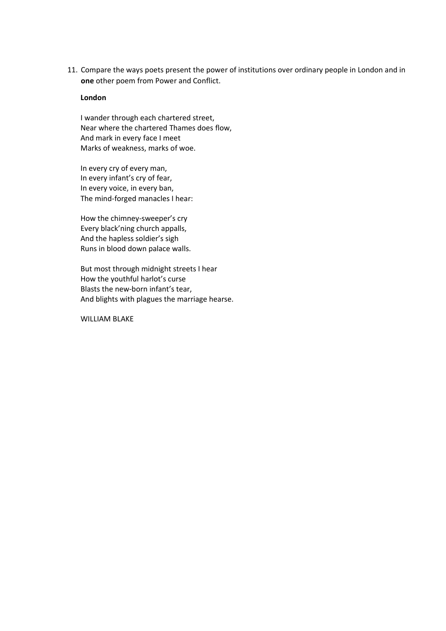11. Compare the ways poets present the power of institutions over ordinary people in London and in **one** other poem from Power and Conflict.

## **London**

I wander through each chartered street, Near where the chartered Thames does flow, And mark in every face I meet Marks of weakness, marks of woe.

In every cry of every man, In every infant's cry of fear, In every voice, in every ban, The mind-forged manacles I hear:

How the chimney-sweeper's cry Every black'ning church appalls, And the hapless soldier's sigh Runs in blood down palace walls.

But most through midnight streets I hear How the youthful harlot's curse Blasts the new-born infant's tear, And blights with plagues the marriage hearse.

WILLIAM BLAKE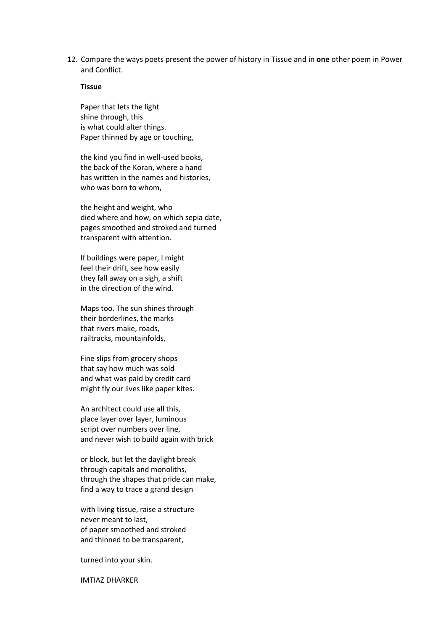12. Compare the ways poets present the power of history in Tissue and in **one** other poem in Power and Conflict.

## **Tissue**

Paper that lets the light shine through, this is what could alter things. Paper thinned by age or touching,

the kind you find in well-used books, the back of the Koran, where a hand has written in the names and histories, who was born to whom,

the height and weight, who died where and how, on which sepia date, pages smoothed and stroked and turned transparent with attention.

If buildings were paper, I might feel their drift, see how easily they fall away on a sigh, a shift in the direction of the wind.

Maps too. The sun shines through their borderlines, the marks that rivers make, roads, railtracks, mountainfolds,

Fine slips from grocery shops that say how much was sold and what was paid by credit card might fly our lives like paper kites.

An architect could use all this, place layer over layer, luminous script over numbers over line, and never wish to build again with brick

or block, but let the daylight break through capitals and monoliths, through the shapes that pride can make, find a way to trace a grand design

with living tissue, raise a structure never meant to last, of paper smoothed and stroked and thinned to be transparent,

turned into your skin.

IMTIAZ DHARKER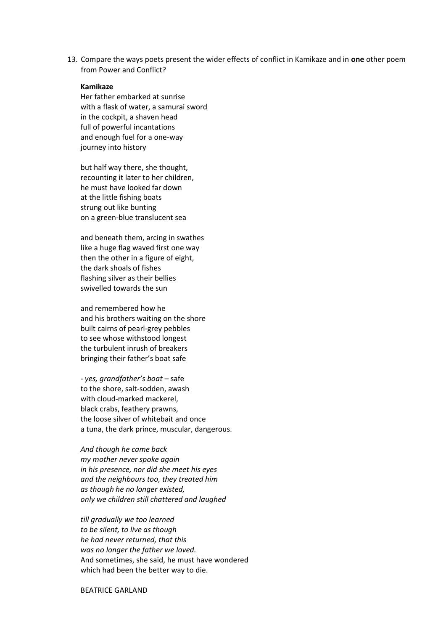13. Compare the ways poets present the wider effects of conflict in Kamikaze and in **one** other poem from Power and Conflict?

## **Kamikaze**

Her father embarked at sunrise with a flask of water, a samurai sword in the cockpit, a shaven head full of powerful incantations and enough fuel for a one-way journey into history

but half way there, she thought, recounting it later to her children, he must have looked far down at the little fishing boats strung out like bunting on a green-blue translucent sea

and beneath them, arcing in swathes like a huge flag waved first one way then the other in a figure of eight, the dark shoals of fishes flashing silver as their bellies swivelled towards the sun

and remembered how he and his brothers waiting on the shore built cairns of pearl-grey pebbles to see whose withstood longest the turbulent inrush of breakers bringing their father's boat safe

- *yes, grandfather's boat* – safe to the shore, salt-sodden, awash with cloud-marked mackerel, black crabs, feathery prawns, the loose silver of whitebait and once a tuna, the dark prince, muscular, dangerous.

*And though he came back my mother never spoke again in his presence, nor did she meet his eyes and the neighbours too, they treated him as though he no longer existed, only we children still chattered and laughed*

*till gradually we too learned to be silent, to live as though he had never returned, that this was no longer the father we loved.* And sometimes, she said, he must have wondered which had been the better way to die.

BEATRICE GARLAND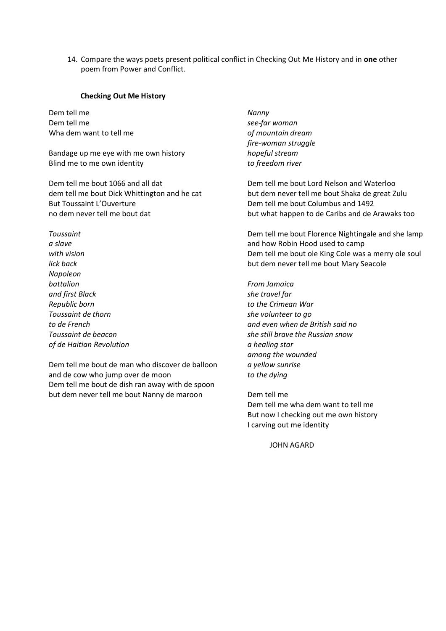14. Compare the ways poets present political conflict in Checking Out Me History and in **one** other poem from Power and Conflict.

## **Checking Out Me History**

Dem tell me Dem tell me Wha dem want to tell me

Bandage up me eye with me own history Blind me to me own identity

Dem tell me bout 1066 and all dat dem tell me bout Dick Whittington and he cat But Toussaint L'Ouverture no dem never tell me bout dat

*Toussaint a slave with vision lick back Napoleon battalion and first Black Republic born Toussaint de thorn to de French Toussaint de beacon of de Haitian Revolution*

Dem tell me bout de man who discover de balloon and de cow who jump over de moon Dem tell me bout de dish ran away with de spoon but dem never tell me bout Nanny de maroon

*Nanny see-far woman of mountain dream fire-woman struggle hopeful stream to freedom river*

Dem tell me bout Lord Nelson and Waterloo but dem never tell me bout Shaka de great Zulu Dem tell me bout Columbus and 1492 but what happen to de Caribs and de Arawaks too

Dem tell me bout Florence Nightingale and she lamp and how Robin Hood used to camp Dem tell me bout ole King Cole was a merry ole soul but dem never tell me bout Mary Seacole

*From Jamaica she travel far to the Crimean War she volunteer to go and even when de British said no she still brave the Russian snow a healing star among the wounded a yellow sunrise to the dying*

Dem tell me Dem tell me wha dem want to tell me But now I checking out me own history I carving out me identity

JOHN AGARD